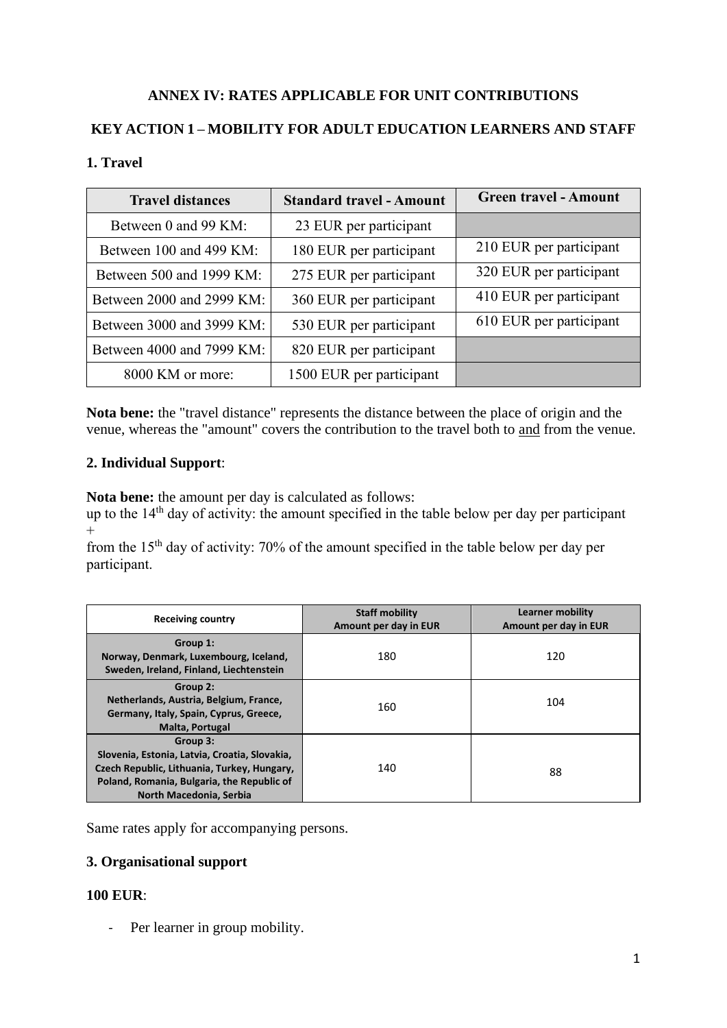# **ANNEX IV: RATES APPLICABLE FOR UNIT CONTRIBUTIONS**

## **KEY ACTION 1 – MOBILITY FOR ADULT EDUCATION LEARNERS AND STAFF**

### **1. Travel**

| <b>Travel distances</b>   | <b>Standard travel - Amount</b> | <b>Green travel - Amount</b> |
|---------------------------|---------------------------------|------------------------------|
| Between 0 and 99 KM:      | 23 EUR per participant          |                              |
| Between 100 and 499 KM:   | 180 EUR per participant         | 210 EUR per participant      |
| Between 500 and 1999 KM:  | 275 EUR per participant         | 320 EUR per participant      |
| Between 2000 and 2999 KM: | 360 EUR per participant         | 410 EUR per participant      |
| Between 3000 and 3999 KM: | 530 EUR per participant         | 610 EUR per participant      |
| Between 4000 and 7999 KM: | 820 EUR per participant         |                              |
| 8000 KM or more:          | 1500 EUR per participant        |                              |

**Nota bene:** the "travel distance" represents the distance between the place of origin and the venue, whereas the "amount" covers the contribution to the travel both to and from the venue.

#### **2. Individual Support**:

**Nota bene:** the amount per day is calculated as follows:

up to the 14<sup>th</sup> day of activity: the amount specified in the table below per day per participant  $+$ 

from the 15th day of activity: 70% of the amount specified in the table below per day per participant.

| <b>Receiving country</b>                                                                                                                                                          | <b>Staff mobility</b><br>Amount per day in EUR | <b>Learner mobility</b><br>Amount per day in EUR |
|-----------------------------------------------------------------------------------------------------------------------------------------------------------------------------------|------------------------------------------------|--------------------------------------------------|
| Group 1:<br>Norway, Denmark, Luxembourg, Iceland,<br>Sweden, Ireland, Finland, Liechtenstein                                                                                      | 180                                            | 120                                              |
| Group 2:<br>Netherlands, Austria, Belgium, France,<br>Germany, Italy, Spain, Cyprus, Greece,<br><b>Malta, Portugal</b>                                                            | 160                                            | 104                                              |
| Group 3:<br>Slovenia, Estonia, Latvia, Croatia, Slovakia,<br>Czech Republic, Lithuania, Turkey, Hungary,<br>Poland, Romania, Bulgaria, the Republic of<br>North Macedonia, Serbia | 140                                            | 88                                               |

Same rates apply for accompanying persons.

## **3. Organisational support**

### **100 EUR**:

- Per learner in group mobility.